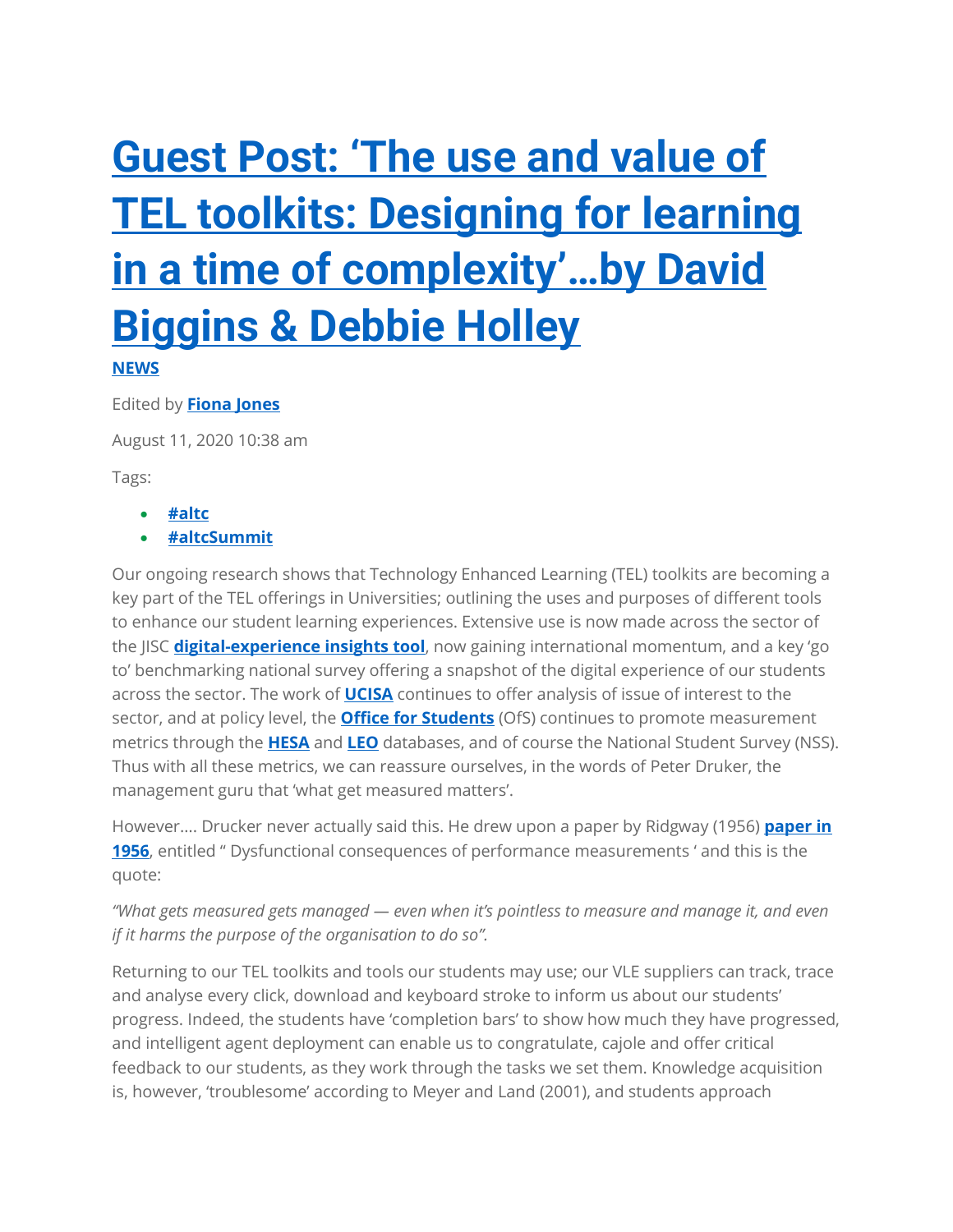## **[Guest Post: 'The use and value of](https://altc.alt.ac.uk/summit2020/news/2020/08/11/guest-post-the-use-and-value-of-tel-toolkits-designing-for-learning-in-a-time-of-complexity-by-david-biggins-debbie-holley/)  [TEL toolkits: Designing for learning](https://altc.alt.ac.uk/summit2020/news/2020/08/11/guest-post-the-use-and-value-of-tel-toolkits-designing-for-learning-in-a-time-of-complexity-by-david-biggins-debbie-holley/)  [in a time of complexity'…by David](https://altc.alt.ac.uk/summit2020/news/2020/08/11/guest-post-the-use-and-value-of-tel-toolkits-designing-for-learning-in-a-time-of-complexity-by-david-biggins-debbie-holley/)  [Biggins & Debbie Holley](https://altc.alt.ac.uk/summit2020/news/2020/08/11/guest-post-the-use-and-value-of-tel-toolkits-designing-for-learning-in-a-time-of-complexity-by-david-biggins-debbie-holley/)**

**[NEWS](https://altc.alt.ac.uk/summit2020/news/category/news/)**

Edited by **[Fiona Jones](https://altc.alt.ac.uk/summit2020/news/author/alt_fjones/)**

August 11, 2020 10:38 am

Tags:

- **[#altc](https://altc.alt.ac.uk/summit2020/news/tag/altc/)**
- **[#altcSummit](https://altc.alt.ac.uk/summit2020/news/tag/altcsummit/)**

Our ongoing research shows that Technology Enhanced Learning (TEL) toolkits are becoming a key part of the TEL offerings in Universities; outlining the uses and purposes of different tools to enhance our student learning experiences. Extensive use is now made across the sector of the JISC **[digital-experience insights tool](https://www.jisc.ac.uk/digital-experience-insights)**, now gaining international momentum, and a key 'go to' benchmarking national survey offering a snapshot of the digital experience of our students across the sector. The work of **[UCISA](https://www.ucisa.ac.uk/COVID-19-information-for-members)** continues to offer analysis of issue of interest to the sector, and at policy level, the **[Office for Students](https://www.officeforstudents.org.uk/)** (OfS) continues to promote measurement metrics through the **[HESA](https://altc.alt.ac.uk/summit2020/news/2020/08/11/guest-post-the-use-and-value-of-tel-toolkits-designing-for-learning-in-a-time-of-complexity-by-david-biggins-debbie-holley/blank)** and **[LEO](https://www.gov.uk/government/statistics/graduate-outcomes-leo-outcomes-in-2016-to-2017)** databases, and of course the National Student Survey (NSS). Thus with all these metrics, we can reassure ourselves, in the words of Peter Druker, the management guru that 'what get measured matters'.

However…. Drucker never actually said this. He drew upon a paper by Ridgway (1956) **[paper in](https://www.jstor.org/stable/pdf/2390989.pdf?seq=1#page_scan_tab_contents)  [1956](https://www.jstor.org/stable/pdf/2390989.pdf?seq=1#page_scan_tab_contents)**, entitled " Dysfunctional consequences of performance measurements ' and this is the quote:

*"What gets measured gets managed — even when it's pointless to measure and manage it, and even if it harms the purpose of the organisation to do so".* 

Returning to our TEL toolkits and tools our students may use; our VLE suppliers can track, trace and analyse every click, download and keyboard stroke to inform us about our students' progress. Indeed, the students have 'completion bars' to show how much they have progressed, and intelligent agent deployment can enable us to congratulate, cajole and offer critical feedback to our students, as they work through the tasks we set them. Knowledge acquisition is, however, 'troublesome' according to Meyer and Land (2001), and students approach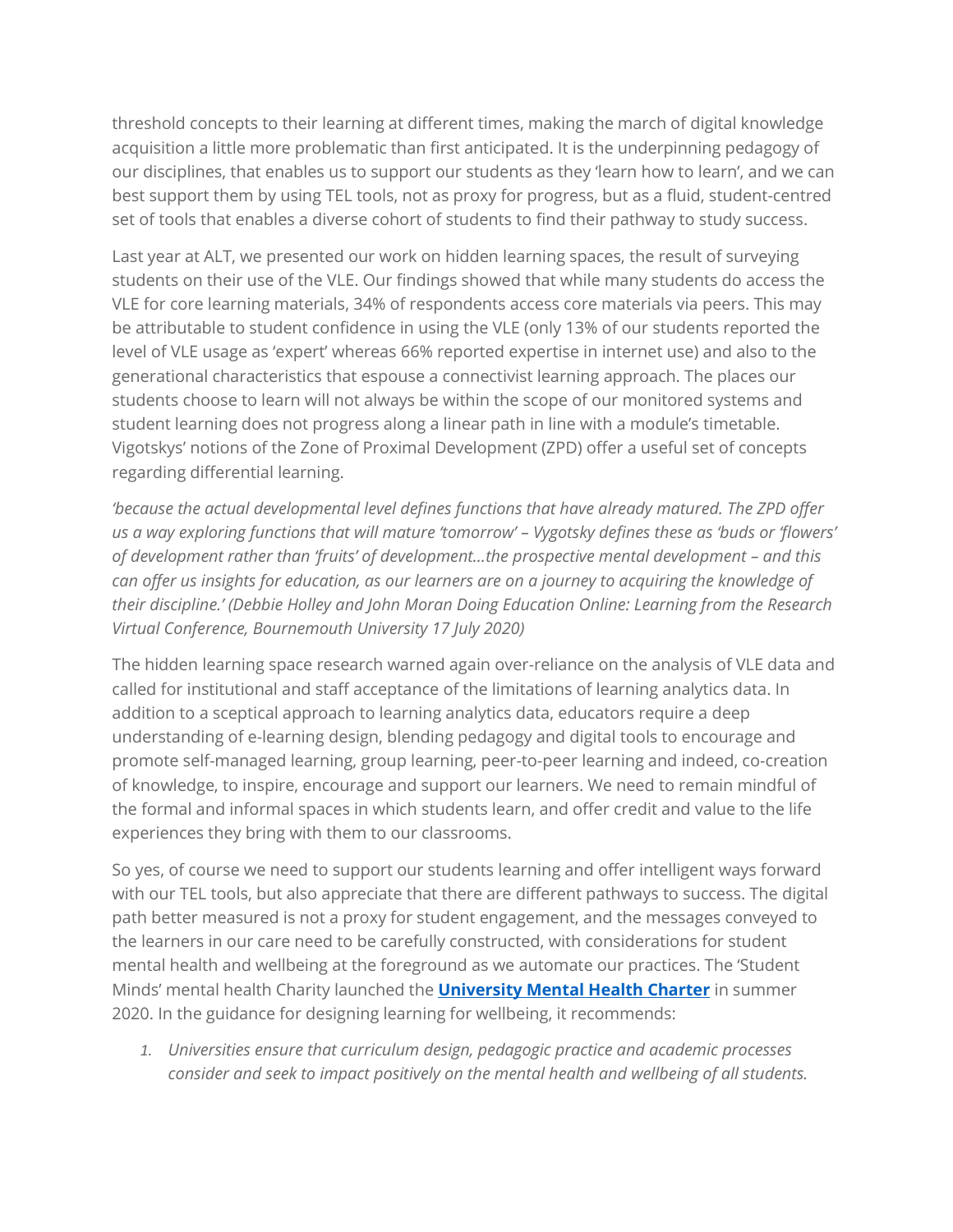threshold concepts to their learning at different times, making the march of digital knowledge acquisition a little more problematic than first anticipated. It is the underpinning pedagogy of our disciplines, that enables us to support our students as they 'learn how to learn', and we can best support them by using TEL tools, not as proxy for progress, but as a fluid, student-centred set of tools that enables a diverse cohort of students to find their pathway to study success.

Last year at ALT, we presented our work on hidden learning spaces, the result of surveying students on their use of the VLE. Our findings showed that while many students do access the VLE for core learning materials, 34% of respondents access core materials via peers. This may be attributable to student confidence in using the VLE (only 13% of our students reported the level of VLE usage as 'expert' whereas 66% reported expertise in internet use) and also to the generational characteristics that espouse a connectivist learning approach. The places our students choose to learn will not always be within the scope of our monitored systems and student learning does not progress along a linear path in line with a module's timetable. Vigotskys' notions of the Zone of Proximal Development (ZPD) offer a useful set of concepts regarding differential learning.

*'because the actual developmental level defines functions that have already matured. The ZPD offer us a way exploring functions that will mature 'tomorrow' – Vygotsky defines these as 'buds or 'flowers' of development rather than 'fruits' of development…the prospective mental development – and this can offer us insights for education, as our learners are on a journey to acquiring the knowledge of their discipline.' (Debbie Holley and John Moran Doing Education Online: Learning from the Research Virtual Conference, Bournemouth University 17 July 2020)*

The hidden learning space research warned again over-reliance on the analysis of VLE data and called for institutional and staff acceptance of the limitations of learning analytics data. In addition to a sceptical approach to learning analytics data, educators require a deep understanding of e-learning design, blending pedagogy and digital tools to encourage and promote self-managed learning, group learning, peer-to-peer learning and indeed, co-creation of knowledge, to inspire, encourage and support our learners. We need to remain mindful of the formal and informal spaces in which students learn, and offer credit and value to the life experiences they bring with them to our classrooms.

So yes, of course we need to support our students learning and offer intelligent ways forward with our TEL tools, but also appreciate that there are different pathways to success. The digital path better measured is not a proxy for student engagement, and the messages conveyed to the learners in our care need to be carefully constructed, with considerations for student mental health and wellbeing at the foreground as we automate our practices. The 'Student Minds' mental health Charity launched the **[University Mental Health Charter](https://www.studentminds.org.uk/charter.html)** in summer 2020. In the guidance for designing learning for wellbeing, it recommends:

*1. Universities ensure that curriculum design, pedagogic practice and academic processes consider and seek to impact positively on the mental health and wellbeing of all students.*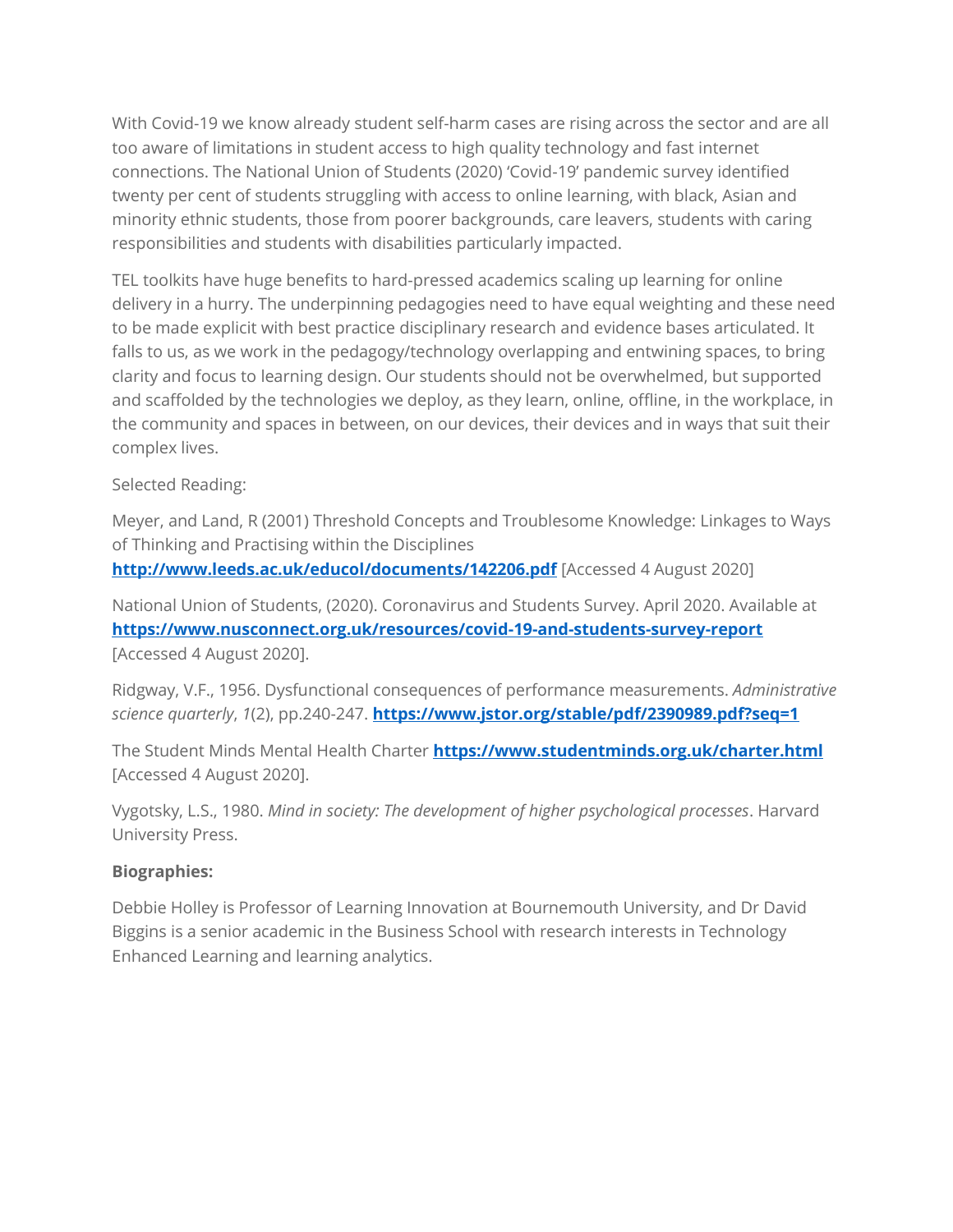With Covid-19 we know already student self-harm cases are rising across the sector and are all too aware of limitations in student access to high quality technology and fast internet connections. The National Union of Students (2020) 'Covid-19' pandemic survey identified twenty per cent of students struggling with access to online learning, with black, Asian and minority ethnic students, those from poorer backgrounds, care leavers, students with caring responsibilities and students with disabilities particularly impacted.

TEL toolkits have huge benefits to hard-pressed academics scaling up learning for online delivery in a hurry. The underpinning pedagogies need to have equal weighting and these need to be made explicit with best practice disciplinary research and evidence bases articulated. It falls to us, as we work in the pedagogy/technology overlapping and entwining spaces, to bring clarity and focus to learning design. Our students should not be overwhelmed, but supported and scaffolded by the technologies we deploy, as they learn, online, offline, in the workplace, in the community and spaces in between, on our devices, their devices and in ways that suit their complex lives.

Selected Reading:

Meyer, and Land, R (2001) Threshold Concepts and Troublesome Knowledge: Linkages to Ways of Thinking and Practising within the Disciplines **<http://www.leeds.ac.uk/educol/documents/142206.pdf>** [Accessed 4 August 2020]

National Union of Students, (2020). Coronavirus and Students Survey. April 2020. Available at **[https://www.nusconnect.org.uk/resources/covid-19-and-students-survey-report](https://eur02.safelinks.protection.outlook.com/?url=https%3A%2F%2Fwww.nusconnect.org.uk%2Fresources%2Fcovid-19-and-students-survey-report&data=02%7C01%7Cdholley%40bournemouth.ac.uk%7C7371351deb854ff5eff908d823e87200%7Cede29655d09742e4bbb5f38d427fbfb8%7C0%7C0%7C637298828532668877&sdata=iySjFhv5KztK5S%2BnqnMIyM79%2BHR7G%2BDQ3l58MUDpwbw%3D&reserved=0)** [Accessed 4 August 2020].

Ridgway, V.F., 1956. Dysfunctional consequences of performance measurements. *Administrative science quarterly*, *1*(2), pp.240-247. **<https://www.jstor.org/stable/pdf/2390989.pdf?seq=1>**

The Student Minds Mental Health Charter **<https://www.studentminds.org.uk/charter.html>** [Accessed 4 August 2020].

Vygotsky, L.S., 1980. *Mind in society: The development of higher psychological processes*. Harvard University Press.

## **Biographies:**

Debbie Holley is Professor of Learning Innovation at Bournemouth University, and Dr David Biggins is a senior academic in the Business School with research interests in Technology Enhanced Learning and learning analytics.